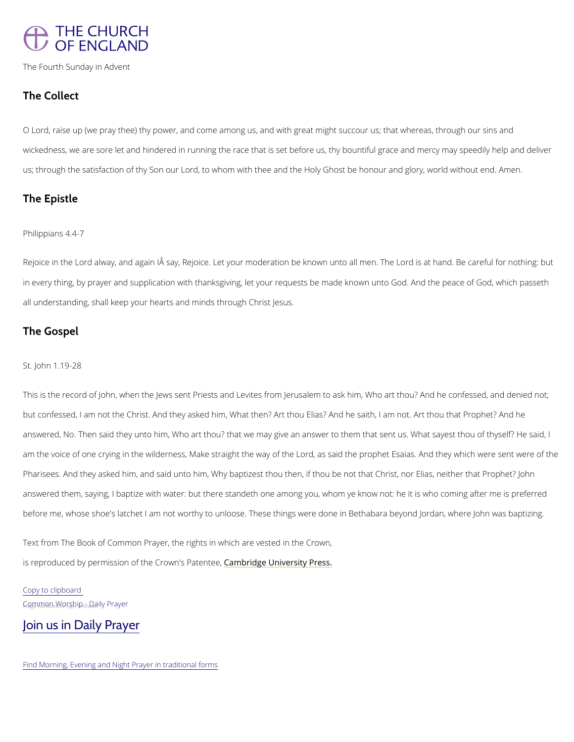# THE CHURCH OF ENGLAND

The Fourth Sunday in Advent

# The Collect

O Lord raise up (we pray thee) thy power, and come among us, and with great might succour us wickedness, we are sore let and hindered in running the race that is set before us, thy bount us; through the satisfaction of thy Son our Lord, to whom with thee and the Holy AG mheonst be ho

Rejoicne the Lord alway, and again IÄ say, Rejoice. Let your moderation be known unto all me in every thing, by prayer and supplication with thanksgiving, let your requests be made know all understanding, shall keep your hearts and minds through Christ Jesus.

## The Epistle

### Philippians 4.4-7

## The Gospel

#### St. John 1.19-28

Thiss the record of John, when the Jews sent Priests and Levites from Jerusalem to ask him, but confessed, I am not the Christ. And they asked him, What then? Art thou Elias? And he s answered, No. Then said they unto him, Who art thou? that we may give an answer to them th am the voice of one crying in the wilderness, Make straight the way of the Lord, as said the Pharisees. And they asked him, and said unto him, Why baptizest thou then, if thou be not th answered them, saying, I baptize with water: but there standeth one among you, whom ye kno before me, whose shoe's latchet I am not worthy to unloose. These things were done in Betha

Copy to clipboard  $G_0$   $Q_0$  m m  $Q_0$   $P_0$  w  $W_0$   $Q_0$   $S_0$   $P_0$   $P_0$   $Q_0$   $Q_0$   $Q_0$   $Q_0$   $Q_0$   $Q_0$   $Q_0$   $Q_0$   $Q_0$   $Q_0$   $Q_0$   $Q_0$   $Q_0$   $Q_0$   $Q_0$   $Q_0$   $Q_0$   $Q_0$   $Q_0$   $Q_0$   $Q_0$   $Q_0$   $Q_0$   $Q_0$   $Q_0$   $Q_0$   $Q_0$ 

Text from The Book of Common Prayer, the rights in which are vested in the Crown,

is reproduced by permission of the  $C$   $\mathcal{E}$  m dow independent patentic Press.

[Join us in Daily Prayer](https://www.churchofengland.org/prayer-and-worship/join-us-in-daily-prayer)

Find Morning, Evening and Night Prayer in traditional forms